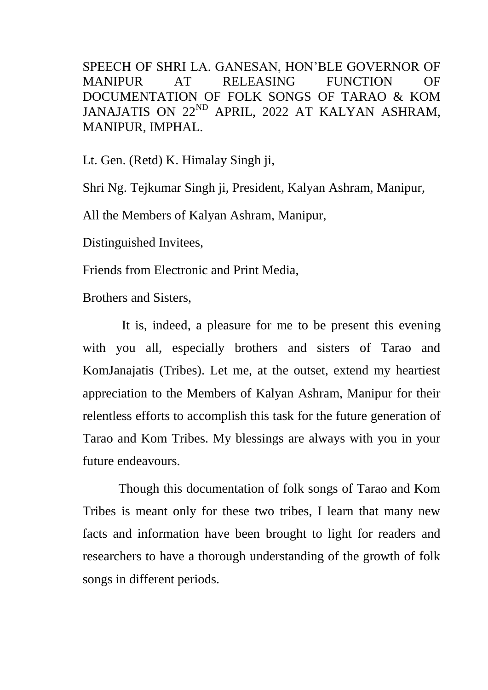SPEECH OF SHRI LA. GANESAN, HON'BLE GOVERNOR OF MANIPUR AT RELEASING FUNCTION OF DOCUMENTATION OF FOLK SONGS OF TARAO & KOM JANAJATIS ON 22<sup>ND</sup> APRIL, 2022 AT KALYAN ASHRAM, MANIPUR, IMPHAL.

Lt. Gen. (Retd) K. Himalay Singh ji,

Shri Ng. Tejkumar Singh ji, President, Kalyan Ashram, Manipur,

All the Members of Kalyan Ashram, Manipur,

Distinguished Invitees,

Friends from Electronic and Print Media,

Brothers and Sisters,

 It is, indeed, a pleasure for me to be present this evening with you all, especially brothers and sisters of Tarao and KomJanajatis (Tribes). Let me, at the outset, extend my heartiest appreciation to the Members of Kalyan Ashram, Manipur for their relentless efforts to accomplish this task for the future generation of Tarao and Kom Tribes. My blessings are always with you in your future endeavours.

 Though this documentation of folk songs of Tarao and Kom Tribes is meant only for these two tribes, I learn that many new facts and information have been brought to light for readers and researchers to have a thorough understanding of the growth of folk songs in different periods.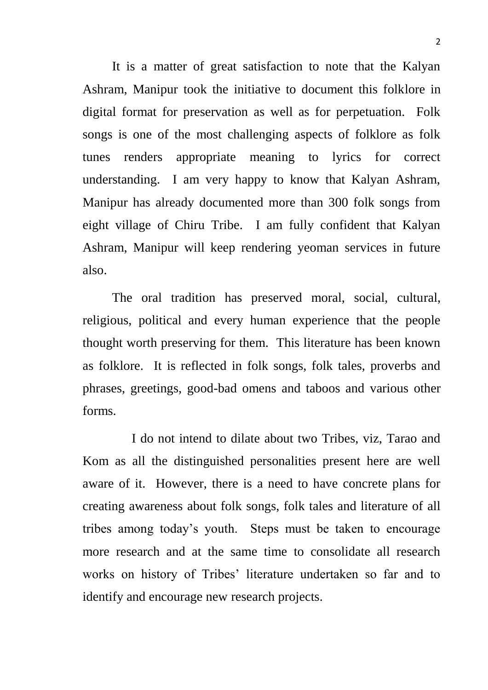It is a matter of great satisfaction to note that the Kalyan Ashram, Manipur took the initiative to document this folklore in digital format for preservation as well as for perpetuation. Folk songs is one of the most challenging aspects of folklore as folk tunes renders appropriate meaning to lyrics for correct understanding. I am very happy to know that Kalyan Ashram, Manipur has already documented more than 300 folk songs from eight village of Chiru Tribe. I am fully confident that Kalyan Ashram, Manipur will keep rendering yeoman services in future also.

 The oral tradition has preserved moral, social, cultural, religious, political and every human experience that the people thought worth preserving for them. This literature has been known as folklore. It is reflected in folk songs, folk tales, proverbs and phrases, greetings, good-bad omens and taboos and various other forms.

 I do not intend to dilate about two Tribes, viz, Tarao and Kom as all the distinguished personalities present here are well aware of it. However, there is a need to have concrete plans for creating awareness about folk songs, folk tales and literature of all tribes among today's youth. Steps must be taken to encourage more research and at the same time to consolidate all research works on history of Tribes' literature undertaken so far and to identify and encourage new research projects.